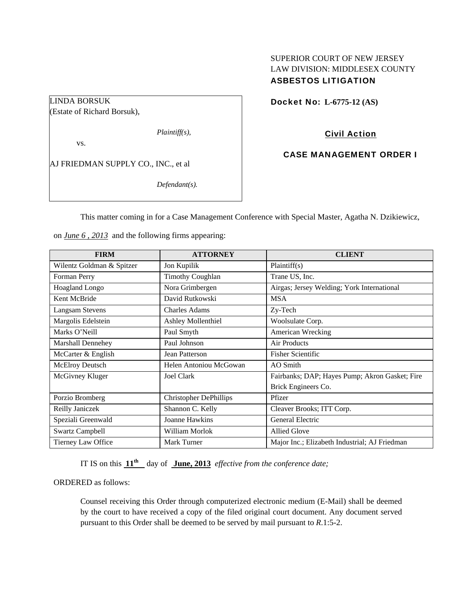# SUPERIOR COURT OF NEW JERSEY LAW DIVISION: MIDDLESEX COUNTY ASBESTOS LITIGATION

# Docket No: **L-6775-12 (AS)**

LINDA BORSUK (Estate of Richard Borsuk),

*Plaintiff(s),* 

vs.

AJ FRIEDMAN SUPPLY CO., INC., et al

*Defendant(s).* 

Civil Action

CASE MANAGEMENT ORDER I

This matter coming in for a Case Management Conference with Special Master, Agatha N. Dzikiewicz,

on *June 6 , 2013* and the following firms appearing:

| <b>FIRM</b>               | <b>ATTORNEY</b>               | <b>CLIENT</b>                                  |
|---------------------------|-------------------------------|------------------------------------------------|
| Wilentz Goldman & Spitzer | Jon Kupilik                   | Plaintiff(s)                                   |
| Forman Perry              | <b>Timothy Coughlan</b>       | Trane US, Inc.                                 |
| <b>Hoagland Longo</b>     | Nora Grimbergen               | Airgas; Jersey Welding; York International     |
| Kent McBride              | David Rutkowski               | <b>MSA</b>                                     |
| Langsam Stevens           | Charles Adams                 | Zy-Tech                                        |
| Margolis Edelstein        | <b>Ashley Mollenthiel</b>     | Woolsulate Corp.                               |
| Marks O'Neill             | Paul Smyth                    | American Wrecking                              |
| <b>Marshall Dennehey</b>  | Paul Johnson                  | Air Products                                   |
| McCarter & English        | Jean Patterson                | <b>Fisher Scientific</b>                       |
| <b>McElroy Deutsch</b>    | Helen Antoniou McGowan        | AO Smith                                       |
| McGivney Kluger           | <b>Joel Clark</b>             | Fairbanks; DAP; Hayes Pump; Akron Gasket; Fire |
|                           |                               | Brick Engineers Co.                            |
| Porzio Bromberg           | <b>Christopher DePhillips</b> | Pfizer                                         |
| Reilly Janiczek           | Shannon C. Kelly              | Cleaver Brooks; ITT Corp.                      |
| Speziali Greenwald        | Joanne Hawkins                | General Electric                               |
| <b>Swartz Campbell</b>    | William Morlok                | Allied Glove                                   |
| Tierney Law Office        | Mark Turner                   | Major Inc.; Elizabeth Industrial; AJ Friedman  |

IT IS on this  $11^{\text{th}}$  day of June, 2013 *effective from the conference date*;

ORDERED as follows:

Counsel receiving this Order through computerized electronic medium (E-Mail) shall be deemed by the court to have received a copy of the filed original court document. Any document served pursuant to this Order shall be deemed to be served by mail pursuant to *R*.1:5-2.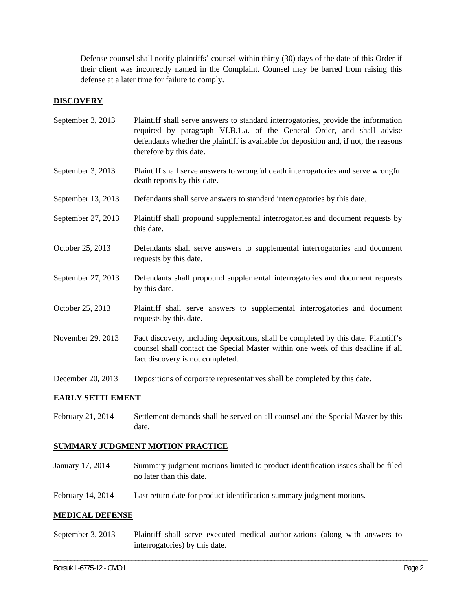Defense counsel shall notify plaintiffs' counsel within thirty (30) days of the date of this Order if their client was incorrectly named in the Complaint. Counsel may be barred from raising this defense at a later time for failure to comply.

### **DISCOVERY**

- September 3, 2013 Plaintiff shall serve answers to standard interrogatories, provide the information required by paragraph VI.B.1.a. of the General Order, and shall advise defendants whether the plaintiff is available for deposition and, if not, the reasons therefore by this date.
- September 3, 2013 Plaintiff shall serve answers to wrongful death interrogatories and serve wrongful death reports by this date.
- September 13, 2013 Defendants shall serve answers to standard interrogatories by this date.
- September 27, 2013 Plaintiff shall propound supplemental interrogatories and document requests by this date.
- October 25, 2013 Defendants shall serve answers to supplemental interrogatories and document requests by this date.
- September 27, 2013 Defendants shall propound supplemental interrogatories and document requests by this date.
- October 25, 2013 Plaintiff shall serve answers to supplemental interrogatories and document requests by this date.
- November 29, 2013 Fact discovery, including depositions, shall be completed by this date. Plaintiff's counsel shall contact the Special Master within one week of this deadline if all fact discovery is not completed.
- December 20, 2013 Depositions of corporate representatives shall be completed by this date.

### **EARLY SETTLEMENT**

February 21, 2014 Settlement demands shall be served on all counsel and the Special Master by this date.

### **SUMMARY JUDGMENT MOTION PRACTICE**

- January 17, 2014 Summary judgment motions limited to product identification issues shall be filed no later than this date.
- February 14, 2014 Last return date for product identification summary judgment motions.

#### **MEDICAL DEFENSE**

September 3, 2013 Plaintiff shall serve executed medical authorizations (along with answers to interrogatories) by this date.

\_\_\_\_\_\_\_\_\_\_\_\_\_\_\_\_\_\_\_\_\_\_\_\_\_\_\_\_\_\_\_\_\_\_\_\_\_\_\_\_\_\_\_\_\_\_\_\_\_\_\_\_\_\_\_\_\_\_\_\_\_\_\_\_\_\_\_\_\_\_\_\_\_\_\_\_\_\_\_\_\_\_\_\_\_\_\_\_\_\_\_\_\_\_\_\_\_\_\_\_\_\_\_\_\_\_\_\_\_\_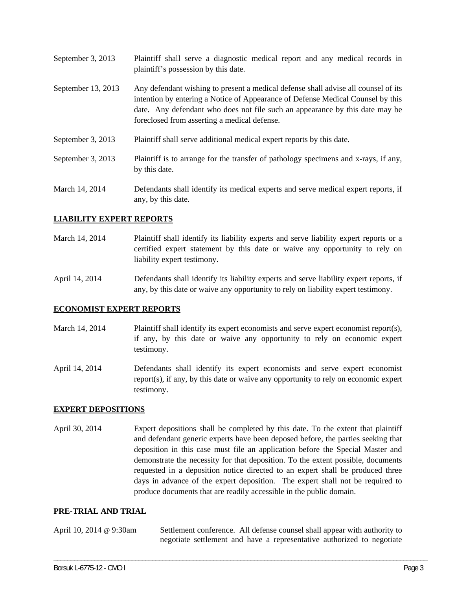September 3, 2013 Plaintiff shall serve a diagnostic medical report and any medical records in plaintiff's possession by this date. September 13, 2013 Any defendant wishing to present a medical defense shall advise all counsel of its intention by entering a Notice of Appearance of Defense Medical Counsel by this date. Any defendant who does not file such an appearance by this date may be foreclosed from asserting a medical defense. September 3, 2013 Plaintiff shall serve additional medical expert reports by this date. September 3, 2013 Plaintiff is to arrange for the transfer of pathology specimens and x-rays, if any, by this date. March 14, 2014 Defendants shall identify its medical experts and serve medical expert reports, if any, by this date.

### **LIABILITY EXPERT REPORTS**

March 14, 2014 Plaintiff shall identify its liability experts and serve liability expert reports or a certified expert statement by this date or waive any opportunity to rely on liability expert testimony.

April 14, 2014 Defendants shall identify its liability experts and serve liability expert reports, if any, by this date or waive any opportunity to rely on liability expert testimony.

### **ECONOMIST EXPERT REPORTS**

- March 14, 2014 Plaintiff shall identify its expert economists and serve expert economist report(s), if any, by this date or waive any opportunity to rely on economic expert testimony.
- April 14, 2014 Defendants shall identify its expert economists and serve expert economist report(s), if any, by this date or waive any opportunity to rely on economic expert testimony.

### **EXPERT DEPOSITIONS**

April 30, 2014 Expert depositions shall be completed by this date. To the extent that plaintiff and defendant generic experts have been deposed before, the parties seeking that deposition in this case must file an application before the Special Master and demonstrate the necessity for that deposition. To the extent possible, documents requested in a deposition notice directed to an expert shall be produced three days in advance of the expert deposition. The expert shall not be required to produce documents that are readily accessible in the public domain.

#### **PRE-TRIAL AND TRIAL**

April 10, 2014 @ 9:30am Settlement conference. All defense counsel shall appear with authority to negotiate settlement and have a representative authorized to negotiate

\_\_\_\_\_\_\_\_\_\_\_\_\_\_\_\_\_\_\_\_\_\_\_\_\_\_\_\_\_\_\_\_\_\_\_\_\_\_\_\_\_\_\_\_\_\_\_\_\_\_\_\_\_\_\_\_\_\_\_\_\_\_\_\_\_\_\_\_\_\_\_\_\_\_\_\_\_\_\_\_\_\_\_\_\_\_\_\_\_\_\_\_\_\_\_\_\_\_\_\_\_\_\_\_\_\_\_\_\_\_